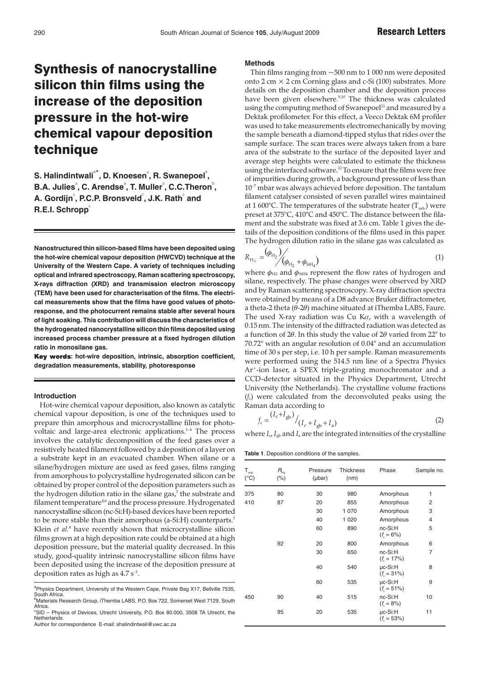# Synthesis of nanocrystalline silicon thin films using the increase of the deposition pressure in the hot-wire chemical vapour deposition technique

 $\mathbf S$ . Halindintwali $\mathsf{a}^*$ , D. Knoesen $\mathsf{a}$ , R. Swanepoel $\mathsf{a}^*$ , **B.A. Julies** $^{\circ}$ **, C. Arendse** $^{\circ}$ **, T. Muller** $^{\circ}$ **, C.C.Theron** $^{\circ}$ **,** A. Gordijn $^\circ$ , P.C.P. Bronsveld $^\circ$ , J.K. Rath $^\circ$  and **R.E.I. Schropp**<sup>c</sup>

**Nanostructured thin silicon-based films have been deposited using the hot-wire chemical vapour deposition (HWCVD) technique at the University of the Western Cape. A variety of techniques including optical and infrared spectroscopy, Raman scattering spectroscopy, X-rays diffraction (XRD) and transmission electron microscopy (TEM) have been used for characterisation of the films. The electrical measurements show that the films have good values of photoresponse, and the photocurrent remains stable after several hours of light soaking. This contribution will discuss the characteristics of the hydrogenated nanocrystalline silicon thin films deposited using increased process chamber pressure at a fixed hydrogen dilution ratio in monosilane gas.**

**: hot-wire deposition, intrinsic, absorption coefficient, degradation measurements, stability, photoresponse**

#### **Introduction**

Hot-wire chemical vapour deposition, also known as catalytic chemical vapour deposition, is one of the techniques used to prepare thin amorphous and microcrystalline films for photovoltaic and large-area electronic applications.<sup>1-4</sup> The process involves the catalytic decomposition of the feed gases over a resistively heated filament followed by a deposition of a layer on a substrate kept in an evacuated chamber. When silane or a silane/hydrogen mixture are used as feed gases, films ranging from amorphous to polycrystalline hydrogenated silicon can be obtained by proper control of the deposition parameters such as the hydrogen dilution ratio in the silane gas,<sup>5</sup> the substrate and filament temperature<sup>4,6</sup> and the process pressure. Hydrogenated nanocrystalline silicon (nc-Si:H)-based devices have been reported to be more stable than their amorphous (a-Si:H) counterparts.7 Klein *et al.*<sup>8</sup> have recently shown that microcrystalline silicon films grown at a high deposition rate could be obtained at a high deposition pressure, but the material quality decreased. In this study, good-quality intrinsic nanocrystalline silicon films have been deposited using the increase of the deposition pressure at deposition rates as high as  $4.7 s^{-1}$ .

<sup>a</sup> Physics Department, University of the Western Cape, Private Bag X17, Bellville 7535,

South Africa. b Materials Research Group, iThemba LABS, P.O. Box 722, Somerset West 7129, South Africa.

### **Methods**

Thin films ranging from  $\sim$  500 nm to 1 000 nm were deposited onto  $2 \text{ cm} \times 2 \text{ cm}$  Corning glass and c-Si (100) substrates. More details on the deposition chamber and the deposition process have been given elsewhere.<sup>9,10</sup> The thickness was calculated using the computing method of Swanepoel $11$  and measured by a Dektak profilometer. For this effect, a Veeco Dektak 6M profiler was used to take measurements electromechanically by moving the sample beneath a diamond-tipped stylus that rides over the sample surface. The scan traces were always taken from a bare area of the substrate to the surface of the deposited layer and average step heights were calculated to estimate the thickness using the interfaced software.<sup>12</sup> To ensure that the films were free of impurities during growth, a background pressure of less than  $10^{-7}$  mbar was always achieved before deposition. The tantalum filament catalyser consisted of seven parallel wires maintained at 1 600°C. The temperatures of the substrate heater  $(T_{sub})$  were preset at 375°C, 410°C and 450°C. The distance between the filament and the substrate was fixed at 3.6 cm. Table 1 gives the details of the deposition conditions of the films used in this paper. The hydrogen dilution ratio in the silane gas was calculated as

$$
R_{\rm H_2} = \left(\phi_{\rm H_2}\right) / \left(\phi_{\rm H_2} + \phi_{\rm SiH_4}\right) \tag{1}
$$

where  $\phi_{H2}$  and  $\phi_{SH4}$  represent the flow rates of hydrogen and silane, respectively. The phase changes were observed by XRD and by Raman scattering spectroscopy. X-ray diffraction spectra were obtained by means of a D8 advance Bruker diffractometer, a theta-2 theta ( $θ$ -2 $θ$ ) machine situated at iThemba LABS, Faure. The used X-ray radiation was Cu K $\alpha$ , with a wavelength of 0.15 nm. The intensity of the diffracted radiation was detected as a function of  $2\theta$ . In this study the value of  $2\theta$  varied from  $22^{\circ}$  to 70.72° with an angular resolution of 0.04° and an accumulation time of 30 s per step, i.e. 10 h per sample. Raman measurements were performed using the 514.5 nm line of a Spectra Physics Ar+-ion laser, a SPEX triple-grating monochromator and a CCD-detector situated in the Physics Department, Utrecht University (the Netherlands). The crystalline volume fractions (*f*c) were calculated from the deconvoluted peaks using the Raman data according to

$$
f_{\rm c} = \frac{(I_{\rm c} + I_{\rm gb})}{(I_{\rm c} + I_{\rm gb} + I_{\rm a})}
$$
 (2)

where  $I_c$ ,  $I_{gb}$  and  $I_a$  are the integrated intensities of the crystalline

**Table 1**. Deposition conditions of the samples.

| $\mathsf{T}_{_{\mathsf{sub.}}}$<br>$(^{\circ}C)$ | $R_{\scriptscriptstyle\rm H_2}$<br>(% ) | Pressure<br>$(\mu bar)$ | <b>Thickness</b><br>(nm) | Phase                               | Sample no.     |
|--------------------------------------------------|-----------------------------------------|-------------------------|--------------------------|-------------------------------------|----------------|
| 375                                              | 80                                      | 30                      | 980                      | Amorphous                           | 1              |
| 410                                              | 87                                      | 20                      | 855                      | Amorphous                           | 2              |
|                                                  |                                         | 30                      | 1 0 7 0                  | Amorphous                           | 3              |
|                                                  |                                         | 40                      | 1 0 2 0                  | Amorphous                           | $\overline{4}$ |
|                                                  |                                         | 60                      | 890                      | nc-Si:H<br>$(f_{s} = 6\%)$          | 5              |
|                                                  | 92                                      | 20                      | 800                      | Amorphous                           | 6              |
|                                                  |                                         | 30                      | 650                      | nc-Si:H<br>$(f_{s} = 17\%)$         | 7              |
|                                                  |                                         | 40                      | 540                      | µc-Si:H<br>$(f_{s} = 31\%)$         | 8              |
|                                                  |                                         | 60                      | 535                      | $\mu$ c-Si: $H$<br>$(f_{s} = 51\%)$ | 9              |
| 450                                              | 90                                      | 40                      | 515                      | nc-Si:H<br>$(f_{s} = 8\%)$          | 10             |
|                                                  | 95                                      | 20                      | 535                      | $\mu$ c-Si: $H$<br>$(f_{s} = 53\%)$ | 11             |

<sup>&</sup>lt;sup>c</sup>SID - Physics of Devices, Utrecht University, P.O. Box 80.000, 3508 TA Utrecht, the Netherlands. Author for correspondence E-mail: shalindintwali@uwc.ac.za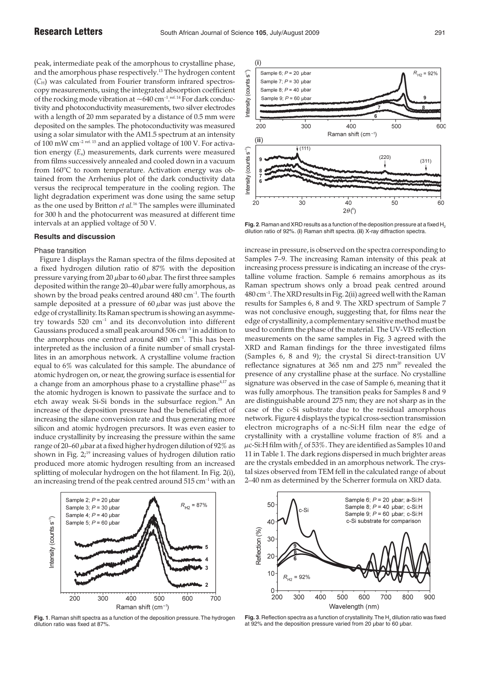peak, intermediate peak of the amorphous to crystalline phase, and the amorphous phase respectively.13 The hydrogen content (*C*H) was calculated from Fourier transform infrared spectroscopy measurements, using the integrated absorption coefficient of the rocking mode vibration at  $\sim$ 640 cm<sup>-1</sup>.<sup>ref. 14</sup> For dark conductivity and photoconductivity measurements, two silver electrodes with a length of 20 mm separated by a distance of 0.5 mm were deposited on the samples. The photoconductivity was measured using a solar simulator with the AM1.5 spectrum at an intensity of 100 mW cm<sup>-2 ref. 15</sup> and an applied voltage of 100 V. For activation energy (*E*a) measurements, dark currents were measured from films successively annealed and cooled down in a vacuum from 160°C to room temperature. Activation energy was obtained from the Arrhenius plot of the dark conductivity data versus the reciprocal temperature in the cooling region. The light degradation experiment was done using the same setup as the one used by Britton *et al.*<sup>16</sup> The samples were illuminated for 300 h and the photocurrent was measured at different time intervals at an applied voltage of 50 V.

# **Results and discussion**

# Phase transition

Figure 1 displays the Raman spectra of the films deposited at a fixed hydrogen dilution ratio of 87% with the deposition pressure varying from 20  $\mu$ bar to 60  $\mu$ bar. The first three samples deposited within the range  $20-40 \mu$ bar were fully amorphous, as shown by the broad peaks centred around 480 cm<sup>-1</sup>. The fourth sample deposited at a pressure of  $60 \mu$ bar was just above the edge of crystallinity. Its Raman spectrum is showing an asymmetry towards 520 cm–1 and its deconvolution into different Gaussians produced a small peak around 506 cm–1 in addition to the amorphous one centred around 480 cm<sup>-1</sup>. This has been interpreted as the inclusion of a finite number of small crystallites in an amorphous network. A crystalline volume fraction equal to 6% was calculated for this sample. The abundance of atomic hydrogen on, or near, the growing surface is essential for a change from an amorphous phase to a crystalline phase<sup>4,17</sup> as the atomic hydrogen is known to passivate the surface and to etch away weak Si-Si bonds in the subsurface region.<sup>18</sup> An increase of the deposition pressure had the beneficial effect of increasing the silane conversion rate and thus generating more silicon and atomic hydrogen precursors. It was even easier to induce crystallinity by increasing the pressure within the same range of 20–60 µbar at a fixed higher hydrogen dilution of 92% as shown in Fig.  $2<sub>i</sub>^{19}$  increasing values of hydrogen dilution ratio produced more atomic hydrogen resulting from an increased splitting of molecular hydrogen on the hot filament. In Fig. 2(i), an increasing trend of the peak centred around  $515 \text{ cm}^{-1}$  with an



**Fig. 1**. Raman shift spectra as a function of the deposition pressure. The hydrogen dilution ratio was fixed at 87%.



**Fig. 2**.Raman and XRD results as a function of the deposition pressure at a fixed H2 dilution ratio of 92%. (**i**) Raman shift spectra. (**ii**) X-ray diffraction spectra.

increase in pressure, is observed on the spectra corresponding to Samples 7–9. The increasing Raman intensity of this peak at increasing process pressure is indicating an increase of the crystalline volume fraction. Sample 6 remains amorphous as its Raman spectrum shows only a broad peak centred around 480 cm–1. The XRD results in Fig. 2(ii) agreed well with the Raman results for Samples 6, 8 and 9. The XRD spectrum of Sample 7 was not conclusive enough, suggesting that, for films near the edge of crystallinity, a complementary sensitive method must be used to confirm the phase of the material. The UV-VIS reflection measurements on the same samples in Fig. 3 agreed with the XRD and Raman findings for the three investigated films (Samples 6, 8 and 9); the crystal Si direct-transition UV reflectance signatures at  $365$  nm and  $275$  nm<sup>20</sup> revealed the presence of any crystalline phase at the surface. No crystalline signature was observed in the case of Sample 6, meaning that it was fully amorphous. The transition peaks for Samples 8 and 9 are distinguishable around 275 nm; they are not sharp as in the case of the c-Si substrate due to the residual amorphous network. Figure 4 displays the typical cross-section transmission electron micrographs of a nc-Si:H film near the edge of crystallinity with a crystalline volume fraction of 8% and a  $\mu$ c-Si:H film with  $f_c$  of 53%. They are identified as Samples 10 and 11 in Table 1. The dark regions dispersed in much brighter areas are the crystals embedded in an amorphous network. The crystal sizes observed from TEM fell in the calculated range of about 2–40 nm as determined by the Scherrer formula on XRD data.



Fig. 3. Reflection spectra as a function of crystallinity. The  $H<sub>2</sub>$  dilution ratio was fixed at 92% and the deposition pressure varied from 20 µbar to 60 µbar.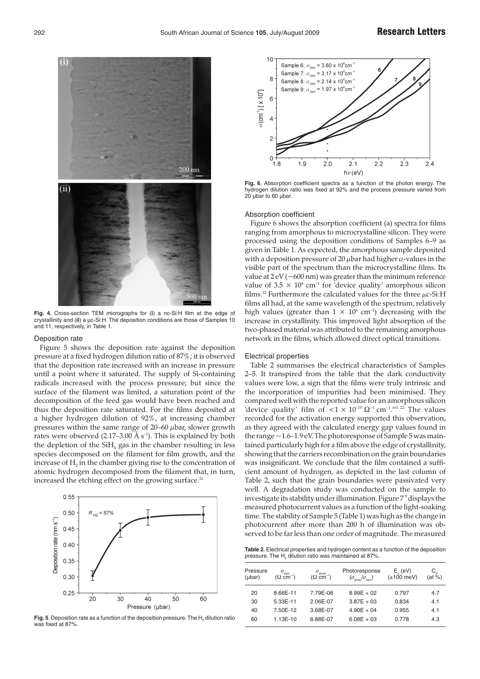

**Fig. 4**. Cross-section TEM micrographs for (**i**) a nc-Si:H film at the edge of crystallinity and (**ii**) a µc-Si:H. The deposition conditions are those of Samples 10 and 11, respectively, in Table 1.

#### Deposition rate

Figure 5 shows the deposition rate against the deposition pressure at a fixed hydrogen dilution ratio of 87%; it is observed that the deposition rate increased with an increase in pressure until a point where it saturated. The supply of Si-containing radicals increased with the process pressure; but since the surface of the filament was limited, a saturation point of the decomposition of the feed gas would have been reached and thus the deposition rate saturated. For the films deposited at a higher hydrogen dilution of 92%, at increasing chamber pressures within the same range of  $20-60$   $\mu$ bar, slower growth rates were observed  $(2.17-3.00 \text{ Å s}^{-1})$ . This is explained by both the depletion of the  $SH_4$  gas in the chamber resulting in less species decomposed on the filament for film growth, and the increase of  $H_2$  in the chamber giving rise to the concentration of atomic hydrogen decomposed from the filament that, in turn, increased the etching effect on the growing surface.<sup>21</sup>



Fig. 5. Deposition rate as a function of the deposition pressure. The H<sub>2</sub> dilution ratio was fixed at 87%.



**Fig. 6**. Absorption coefficient spectra as a function of the photon energy. The hydrogen dilution ratio was fixed at 92% and the process pressure varied from 20 µbar to 60 µbar.

#### Absorption coefficient

Figure 6 shows the absorption coefficient (a) spectra for films ranging from amorphous to microcrystalline silicon. They were processed using the deposition conditions of Samples 6–9 as given in Table 1. As expected, the amorphous sample deposited with a deposition pressure of 20  $\mu$ bar had higher  $\alpha$ -values in the visible part of the spectrum than the microcrystalline films. Its value at  $2 eV$  ( $\sim$ 600 nm) was greater than the minimum reference value of  $3.5 \times 10^4$  cm<sup>-1</sup> for 'device quality' amorphous silicon films.<sup>22</sup> Furthermore the calculated values for the three  $\mu$ c-Si:H films all had, at the same wavelength of the spectrum, relatively high values (greater than  $1 \times 10^4$  cm<sup>-1</sup>) decreasing with the increase in crystallinity. This improved light absorption of the two-phased material was attributed to the remaining amorphous network in the films, which allowed direct optical transitions.

# Electrical properties

Table 2 summarises the electrical characteristics of Samples 2–5. It transpired from the table that the dark conductivity values were low, a sign that the films were truly intrinsic and the incorporation of impurities had been minimised. They compared well with the reported value for an amorphous silicon 'device quality' film of  $<$ 1  $\times$  10<sup>-10</sup>  $\Omega$ <sup>-1</sup> cm<sup>-1</sup>.<sup>ref. 22</sup> The values recorded for the activation energy supported this observation, as they agreed with the calculated energy gap values found in the range ~1.6–1.9 eV. The photoresponse of Sample 5 was maintained particularly high for a film above the edge of crystallinity, showing that the carriers recombination on the grain boundaries was insignificant. We conclude that the film contained a sufficient amount of hydrogen, as depicted in the last column of Table 2, such that the grain boundaries were passivated very well. A degradation study was conducted on the sample to investigate its stability under illumination. Figure 7<sup>9</sup> displays the measured photocurrent values as a function of the light-soaking time. The stability of Sample 5 (Table 1) was high as the change in photocurrent after more than 200 h of illumination was observed to be far less than one order of magnitude. The measured

**Table 2**. Electrical properties and hydrogen content as a function of the deposition pressure. The H<sub>2</sub> dilution ratio was maintained at 87%.

| Pressure<br>$(\mu bar)$ | $\sigma_{\text{\tiny dark}}$<br>$(\Omega \ \text{cm}^{-1})$ | $\sigma_{\text{\tiny{photo}}}$<br>$(\Omega \text{ cm}^{-1})$ | Photoresponse<br>$(\sigma_{\text{ohoto}}/\sigma_{\text{dark}})$ | $E_{1}$ (eV)<br>$(\pm 100 \text{ meV})$ | $C_{u}$<br>(at %) |
|-------------------------|-------------------------------------------------------------|--------------------------------------------------------------|-----------------------------------------------------------------|-----------------------------------------|-------------------|
| 20                      | 8.66E-11                                                    | 7.79E-08                                                     | $8.99E + 02$                                                    | 0.797                                   | 4.7               |
| 30                      | 5.33E-11                                                    | 2.06E-07                                                     | $3.87E + 03$                                                    | 0.834                                   | 4.1               |
| 40                      | 7.50E-12                                                    | 3.68E-07                                                     | $4.90E + 04$                                                    | 0.955                                   | 4.1               |
| 60                      | 1.13E-10                                                    | 6.88E-07                                                     | $6.08E + 03$                                                    | 0.778                                   | 4.3               |
|                         |                                                             |                                                              |                                                                 |                                         |                   |